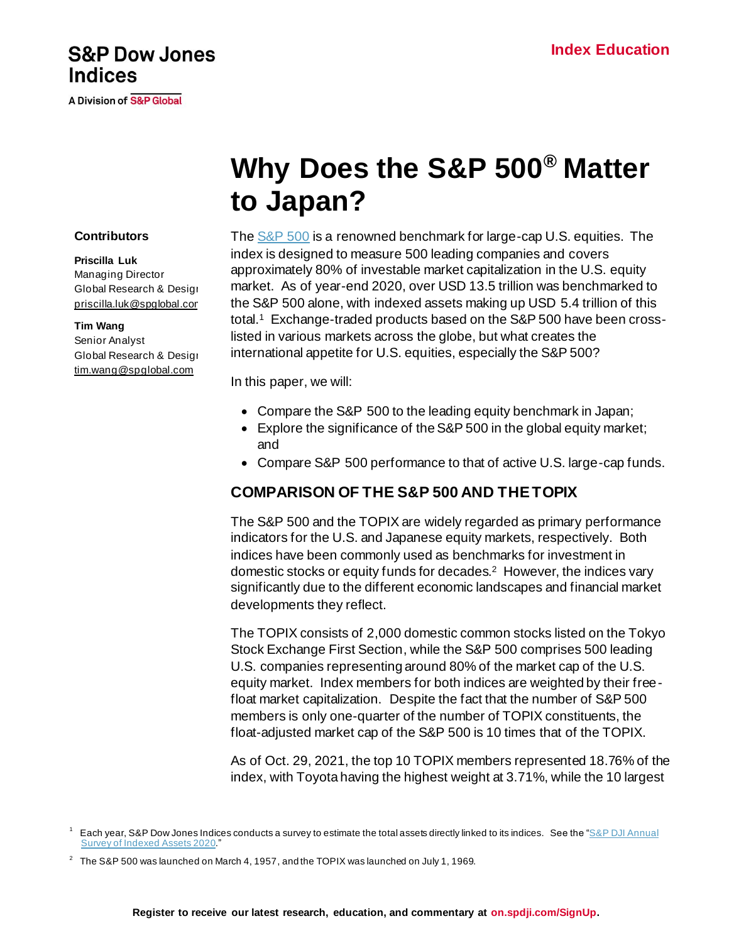## **S&P Dow Jones Indices**

**A Division of S&P Global** 

**Contributors**

**Priscilla Luk** Managing Director Global Research & Design [priscilla.luk@spglobal.com](mailto:priscilla.luk@spglobal.com)

**Tim Wang** Senior Analyst

Global Research & Design [tim.wang@spglobal.com](mailto:priscilla.luk@spglobal.com)

# **Why Does the S&P 500® Matter to Japan?**

#### Th[e S&P 500](http://spindices.com/indices/equity/sp-500?utm_source=pdf_education) is a renowned benchmark for large-cap U.S. equities. The index is designed to measure 500 leading companies and covers approximately 80% of investable market capitalization in the U.S. equity market. As of year-end 2020, over USD 13.5 trillion was benchmarked to the S&P 500 alone, with indexed assets making up USD 5.4 trillion of this total.<sup>1</sup> Exchange-traded products based on the S&P 500 have been crosslisted in various markets across the globe, but what creates the international appetite for U.S. equities, especially the S&P 500?

In this paper, we will:

- Compare the S&P 500 to the leading equity benchmark in Japan;
- Explore the significance of the S&P 500 in the global equity market; and
- Compare S&P 500 performance to that of active U.S. large-cap funds.

### **COMPARISON OF THE S&P 500 AND THE TOPIX**

The S&P 500 and the TOPIX are widely regarded as primary performance indicators for the U.S. and Japanese equity markets, respectively. Both indices have been commonly used as benchmarks for investment in domestic stocks or equity funds for decades. 2 However, the indices vary significantly due to the different economic landscapes and financial market developments they reflect.

The TOPIX consists of 2,000 domestic common stocks listed on the Tokyo Stock Exchange First Section, while the S&P 500 comprises 500 leading U.S. companies representing around 80% of the market cap of the U.S. equity market. Index members for both indices are weighted by their freefloat market capitalization. Despite the fact that the number of S&P 500 members is only one-quarter of the number of TOPIX constituents, the float-adjusted market cap of the S&P 500 is 10 times that of the TOPIX.

As of Oct. 29, 2021, the top 10 TOPIX members represented 18.76% of the index, with Toyota having the highest weight at 3.71%, while the 10 largest

 $1$  Each year, S&P Dow Jones Indices conducts a survey to estimate the total assets directly linked to its indices. See the " $S\&P$  DJI Annual [Survey of Indexed Assets 2020](https://www.spglobal.com/spdji/en/documents/index-news-and-announcements/spdji-indexed-asset-survey-2020.pdf?utm_source=pdf_education)."

 $^2$  The S&P 500 was launched on March 4, 1957, and the TOPIX was launched on July 1, 1969.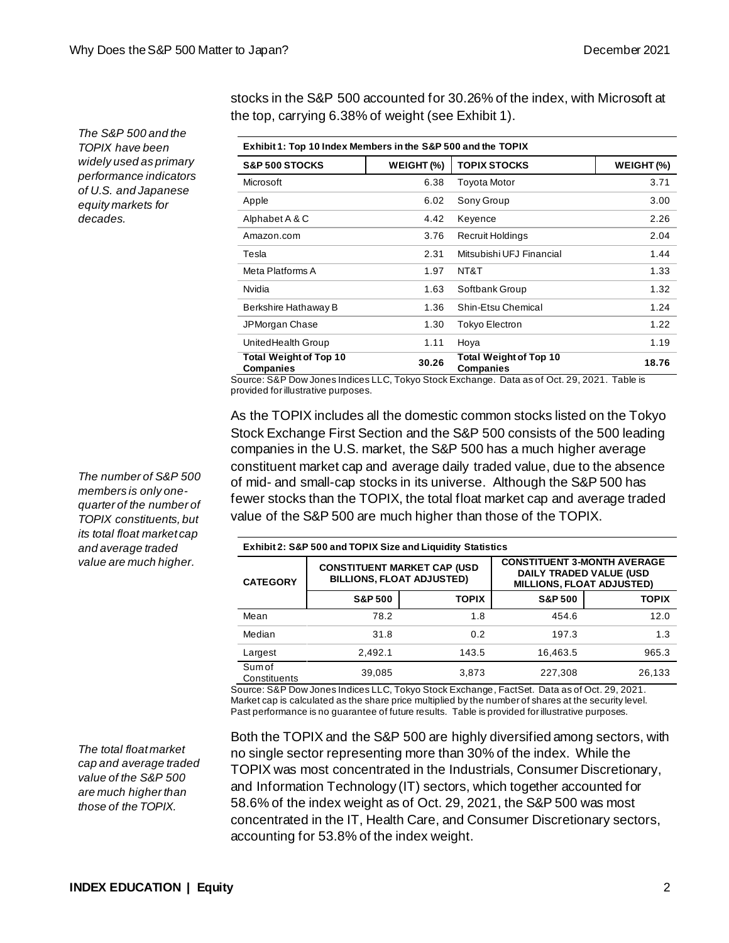*The S&P 500 and the TOPIX have been widely used as primary performance indicators of U.S. and Japanese equity markets for decades.*

stocks in the S&P 500 accounted for 30.26% of the index, with Microsoft at the top, carrying 6.38% of weight (see Exhibit 1).

| Exhibit 1: Top 10 Index Members in the S&P 500 and the TOPIX |            |                                                   |            |  |  |
|--------------------------------------------------------------|------------|---------------------------------------------------|------------|--|--|
| <b>S&amp;P 500 STOCKS</b>                                    | WEIGHT (%) | <b>TOPIX STOCKS</b>                               | WEIGHT (%) |  |  |
| Microsoft                                                    | 6.38       | <b>Toyota Motor</b>                               | 3.71       |  |  |
| Apple                                                        | 6.02       | Sony Group                                        | 3.00       |  |  |
| Alphabet A & C                                               | 4.42       | Keyence                                           | 2.26       |  |  |
| Amazon.com                                                   | 3.76       | Recruit Holdings                                  | 2.04       |  |  |
| Tesla                                                        | 2.31       | Mitsubishi UFJ Financial                          | 1.44       |  |  |
| Meta Platforms A                                             | 1.97       | NT&T                                              | 1.33       |  |  |
| Nvidia                                                       | 1.63       | Softbank Group                                    | 1.32       |  |  |
| Berkshire Hathaway B                                         | 1.36       | Shin-Etsu Chemical                                | 1.24       |  |  |
| JPMorgan Chase                                               | 1.30       | <b>Tokyo Electron</b>                             | 1.22       |  |  |
| UnitedHealth Group                                           | 1.11       | Hoya                                              | 1.19       |  |  |
| <b>Total Weight of Top 10</b><br><b>Companies</b>            | 30.26      | <b>Total Weight of Top 10</b><br><b>Companies</b> | 18.76      |  |  |

Source: S&P Dow Jones Indices LLC, Tokyo Stock Exchange. Data as of Oct. 29, 2021. Table is provided for illustrative purposes.

As the TOPIX includes all the domestic common stocks listed on the Tokyo Stock Exchange First Section and the S&P 500 consists of the 500 leading companies in the U.S. market, the S&P 500 has a much higher average constituent market cap and average daily traded value, due to the absence of mid- and small-cap stocks in its universe. Although the S&P 500 has fewer stocks than the TOPIX, the total float market cap and average traded value of the S&P 500 are much higher than those of the TOPIX.

| <b>Exhibit 2: S&amp;P 500 and TOPIX Size and Liquidity Statistics</b> |                    |                                                                         |                                                                                            |              |  |  |
|-----------------------------------------------------------------------|--------------------|-------------------------------------------------------------------------|--------------------------------------------------------------------------------------------|--------------|--|--|
| <b>CATEGORY</b>                                                       |                    | <b>CONSTITUENT MARKET CAP (USD)</b><br><b>BILLIONS, FLOAT ADJUSTED)</b> | <b>CONSTITUENT 3-MONTH AVERAGE</b><br>DAILY TRADED VALUE (USD<br>MILLIONS, FLOAT ADJUSTED) |              |  |  |
|                                                                       | <b>S&amp;P 500</b> | <b>TOPIX</b>                                                            | <b>S&amp;P 500</b>                                                                         | <b>TOPIX</b> |  |  |
| Mean                                                                  | 78.2               | 1.8                                                                     | 454.6                                                                                      | 12.0         |  |  |
| Median                                                                | 31.8               | 0.2                                                                     | 197.3                                                                                      | 1.3          |  |  |
| Largest                                                               | 2.492.1            | 143.5                                                                   | 16,463.5                                                                                   | 965.3        |  |  |
| Sum of<br>Constituents                                                | 39,085             | 3.873                                                                   | 227.308                                                                                    | 26,133       |  |  |

Source: S&P Dow Jones Indices LLC, Tokyo Stock Exchange, FactSet. Data as of Oct. 29, 2021. Market cap is calculated as the share price multiplied by the number of shares at the security level. Past performance is no guarantee of future results. Table is provided for illustrative purposes.

Both the TOPIX and the S&P 500 are highly diversified among sectors, with no single sector representing more than 30% of the index. While the TOPIX was most concentrated in the Industrials, Consumer Discretionary, and Information Technology (IT) sectors, which together accounted for 58.6% of the index weight as of Oct. 29, 2021, the S&P 500 was most concentrated in the IT, Health Care, and Consumer Discretionary sectors, accounting for 53.8% of the index weight.

*The number of S&P 500 members is only onequarter of the number of TOPIX constituents, but its total float market cap and average traded value are much higher.*

*The total float market cap and average traded value of the S&P 500 are much higher than those of the TOPIX.*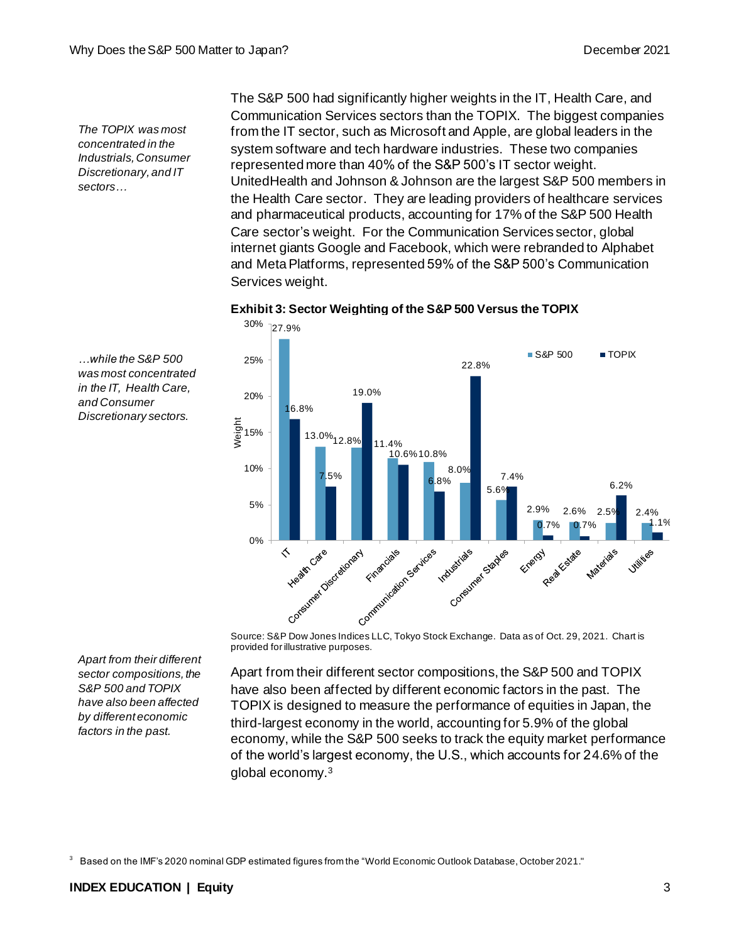*The TOPIX was most concentrated in the Industrials, Consumer Discretionary, and IT sectors…*

*…while the S&P 500 was most concentrated in the IT, Health Care, and Consumer Discretionary sectors.*

The S&P 500 had significantly higher weights in the IT, Health Care, and Communication Services sectors than the TOPIX. The biggest companies from the IT sector, such as Microsoft and Apple, are global leaders in the system software and tech hardware industries. These two companies represented more than 40% of the S&P 500's IT sector weight. UnitedHealth and Johnson & Johnson are the largest S&P 500 members in the Health Care sector. They are leading providers of healthcare services and pharmaceutical products, accounting for 17% of the S&P 500 Health Care sector's weight. For the Communication Services sector, global internet giants Google and Facebook, which were rebranded to Alphabet and Meta Platforms, represented 59% of the S&P 500's Communication Services weight.



**Exhibit 3: Sector Weighting of the S&P 500 Versus the TOPIX**

provided for illustrative purposes.

Apart from their different sector compositions, the S&P 500 and TOPIX have also been affected by different economic factors in the past. The TOPIX is designed to measure the performance of equities in Japan, the third-largest economy in the world, accounting for 5.9% of the global economy, while the S&P 500 seeks to track the equity market performance of the world's largest economy, the U.S., which accounts for 24.6% of the global economy.<sup>3</sup>

<sup>3</sup> Based on the IMF's 2020 nominal GDP estimated figures from the "World Economic Outlook Database, October 2021."

*Apart from their different sector compositions, the S&P 500 and TOPIX have also been affected by different economic factors in the past.*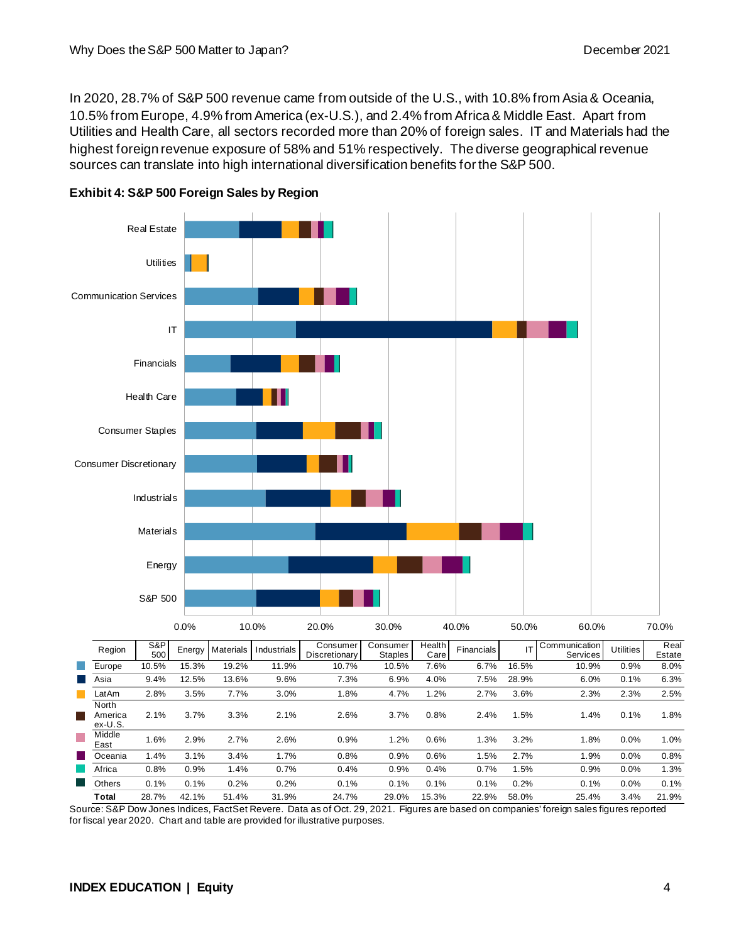In 2020, 28.7% of S&P 500 revenue came from outside of the U.S., with 10.8% from Asia & Oceania, 10.5% from Europe, 4.9% from America (ex-U.S.), and 2.4% from Africa & Middle East. Apart from Utilities and Health Care, all sectors recorded more than 20% of foreign sales. IT and Materials had the highest foreign revenue exposure of 58% and 51% respectively. The diverse geographical revenue sources can translate into high international diversification benefits for the S&P 500.





Source: S&P Dow Jones Indices, FactSet Revere. Data as of Oct. 29, 2021. Figures are based on companies' foreign sales figures reported for fiscal year 2020. Chart and table are provided for illustrative purposes.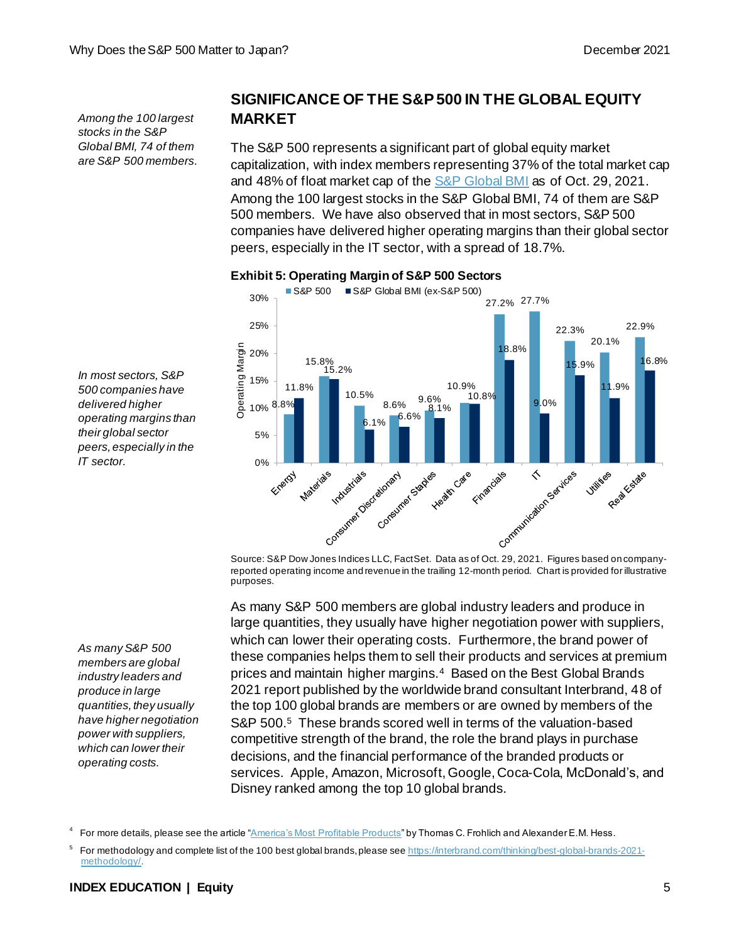*Among the 100 largest stocks in the S&P Global BMI, 74 of them are S&P 500 members.*

*In most sectors, S&P 500 companies have delivered higher operating margins than their global sector peers, especially in the* 

*IT sector.*

## **SIGNIFICANCE OF THE S&P 500 IN THE GLOBAL EQUITY MARKET**

The S&P 500 represents a significant part of global equity market capitalization, with index members representing 37% of the total market cap and 48% of float market cap of th[e S&P Global BMI](https://spglobal.com/spdji/en/indices/equity/sp-global-bmi?utm_source=pdf_education) as of Oct. 29, 2021. Among the 100 largest stocks in the S&P Global BMI, 74 of them are S&P 500 members. We have also observed that in most sectors, S&P 500 companies have delivered higher operating margins than their global sector peers, especially in the IT sector, with a spread of 18.7%.



#### **Exhibit 5: Operating Margin of S&P 500 Sectors**

reported operating income and revenue in the trailing 12-month period. Chart is provided for illustrative purposes.

As many S&P 500 members are global industry leaders and produce in large quantities, they usually have higher negotiation power with suppliers, which can lower their operating costs. Furthermore, the brand power of these companies helps them to sell their products and services at premium prices and maintain higher margins.<sup>4</sup> Based on the Best Global Brands 2021 report published by the worldwide brand consultant Interbrand, 48 of the top 100 global brands are members or are owned by members of the S&P 500.<sup>5</sup> These brands scored well in terms of the valuation-based competitive strength of the brand, the role the brand plays in purchase decisions, and the financial performance of the branded products or services. Apple, Amazon, Microsoft, Google, Coca-Cola, McDonald's, and Disney ranked among the top 10 global brands.

#### **INDEX EDUCATION | Equity** 5

*As many S&P 500 members are global industry leaders and produce in large quantities, they usually have higher negotiation power with suppliers, which can lower their operating costs.*

<sup>4</sup> For more details, please see the article ["America's Most Profitable Products](http://247wallst.com/special-report/2014/06/06/americas-most-profitable-products-2/)" by Thomas C. Frohlich and Alexander E.M. Hess.

<sup>5</sup> For methodology and complete list of the 100 best global brands, please se[e https://interbrand.com/thinking/best-global-brands-2021](https://interbrand.com/thinking/best-global-brands-2021-methodology/) [methodology/](https://interbrand.com/thinking/best-global-brands-2021-methodology/).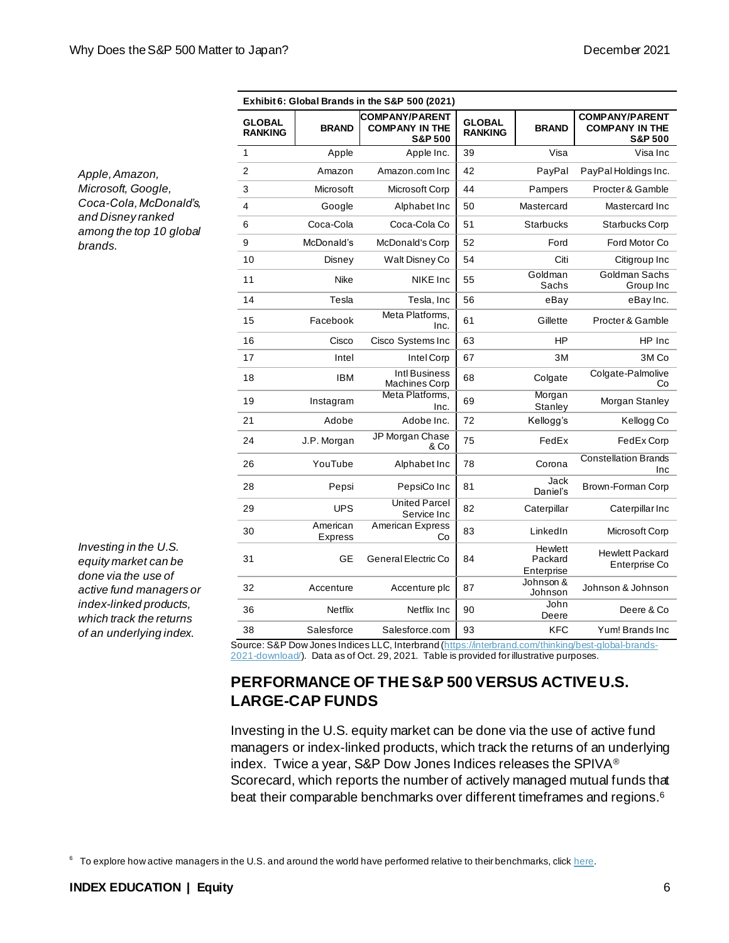| Exhibit 6: Global Brands in the S&P 500 (2021) |                            |                                                                      |                                 |                                  |                                                                      |
|------------------------------------------------|----------------------------|----------------------------------------------------------------------|---------------------------------|----------------------------------|----------------------------------------------------------------------|
| <b>GLOBAL</b><br><b>RANKING</b>                | <b>BRAND</b>               | <b>COMPANY/PARENT</b><br><b>COMPANY IN THE</b><br><b>S&amp;P 500</b> | <b>GLOBAL</b><br><b>RANKING</b> | <b>BRAND</b>                     | <b>COMPANY/PARENT</b><br><b>COMPANY IN THE</b><br><b>S&amp;P 500</b> |
| 1                                              | Apple                      | Apple Inc.                                                           | 39                              | Visa                             | Visa Inc                                                             |
| $\overline{2}$                                 | Amazon                     | Amazon.com Inc                                                       | 42                              | PayPal                           | PayPal Holdings Inc.                                                 |
| 3                                              | Microsoft                  | Microsoft Corp                                                       | 44                              | Pampers                          | Procter & Gamble                                                     |
| 4                                              | Google                     | Alphabet Inc                                                         | 50                              | Mastercard                       | Mastercard Inc                                                       |
| 6                                              | Coca-Cola                  | Coca-Cola Co                                                         | 51                              | Starbucks                        | Starbucks Corp                                                       |
| 9                                              | McDonald's                 | McDonald's Corp                                                      | 52                              | Ford                             | Ford Motor Co                                                        |
| 10                                             | Disney                     | Walt Disney Co                                                       | 54                              | Citi                             | Citigroup Inc                                                        |
| 11                                             | Nike                       | NIKE Inc                                                             | 55                              | Goldman<br>Sachs                 | Goldman Sachs<br>Group Inc                                           |
| 14                                             | Tesla                      | Tesla, Inc                                                           | 56                              | eBay                             | eBay Inc.                                                            |
| 15                                             | Facebook                   | Meta Platforms,<br>Inc.                                              | 61                              | Gillette                         | Procter & Gamble                                                     |
| 16                                             | Cisco                      | Cisco Systems Inc                                                    | 63                              | HP                               | HP Inc                                                               |
| 17                                             | Intel                      | Intel Corp                                                           | 67                              | 3M                               | 3M Co                                                                |
| 18                                             | <b>IBM</b>                 | Intl Business<br>Machines Corp                                       | 68                              | Colgate                          | Colgate-Palmolive<br>Co                                              |
| 19                                             | Instagram                  | Meta Platforms,<br>Inc.                                              | 69                              | Morgan<br>Stanley                | Morgan Stanley                                                       |
| 21                                             | Adobe                      | Adobe Inc.                                                           | 72                              | Kellogg's                        | Kellogg Co                                                           |
| 24                                             | J.P. Morgan                | JP Morgan Chase<br>& Co                                              | 75                              | FedEx                            | FedEx Corp                                                           |
| 26                                             | YouTube                    | Alphabet Inc                                                         | 78                              | Corona                           | <b>Constellation Brands</b><br>Inc                                   |
| 28                                             | Pepsi                      | PepsiCo Inc                                                          | 81                              | Jack<br>Daniel's                 | Brown-Forman Corp                                                    |
| 29                                             | <b>UPS</b>                 | <b>United Parcel</b><br>Service Inc                                  | 82                              | Caterpillar                      | Caterpillar Inc                                                      |
| 30                                             | American<br><b>Express</b> | American Express<br>Co                                               | 83                              | LinkedIn                         | Microsoft Corp                                                       |
| 31                                             | <b>GE</b>                  | General Electric Co                                                  | 84                              | Hewlett<br>Packard<br>Enterprise | <b>Hewlett Packard</b><br>Enterprise Co                              |
| 32                                             | Accenture                  | Accenture plc                                                        | 87                              | Johnson &<br>Johnson             | Johnson & Johnson                                                    |
| 36                                             | Netflix                    | Netflix Inc                                                          | 90                              | John<br>Deere                    | Deere & Co                                                           |
| 38                                             | Salesforce                 | Salesforce.com                                                       | 93                              | <b>KFC</b>                       | Yum! Brands Inc                                                      |

*Apple, Amazon, Microsoft, Google, Coca-Cola, McDonald's, and Disney ranked among the top 10 global brands.*

*Investing in the U.S. equity market can be done via the use of active fund managers or index-linked products, which track the returns of an underlying index.*

Source: S&P Dow Jones Indices LLC, Interbran[d \(https://interbrand.com/thinking/best-global-brands-](https://interbrand.com/thinking/best-global-brands-2021-download/)[2021-download/](https://interbrand.com/thinking/best-global-brands-2021-download/)). Data as of Oct. 29, 2021. Table is provided for illustrative purposes.

## **PERFORMANCE OF THE S&P 500 VERSUS ACTIVE U.S. LARGE-CAP FUNDS**

Investing in the U.S. equity market can be done via the use of active fund managers or index-linked products, which track the returns of an underlying index. Twice a year, S&P Dow Jones Indices releases the SPIVA® Scorecard, which reports the number of actively managed mutual funds that beat their comparable benchmarks over different timeframes and regions. 6

 $6$  To explore how active managers in the U.S. and around the world have performed relative to their benchmarks, clic[k here](http://spindices.com/spiva/#/reports?utm_source=pdf_education).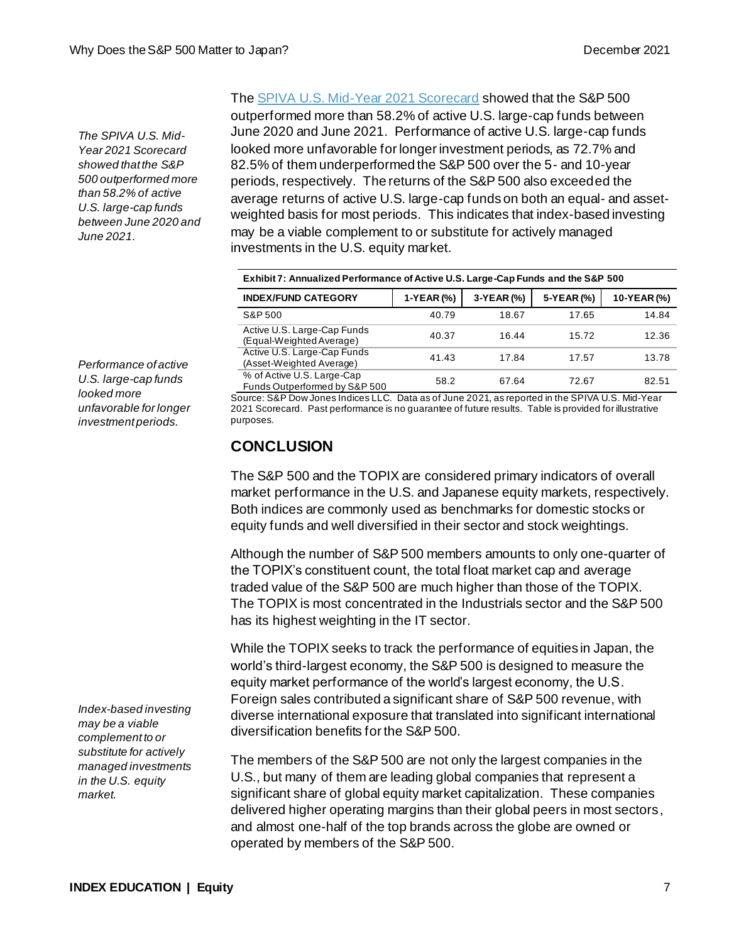*The SPIVA U.S. Mid-Year 2021 Scorecard showed that the S&P 500 outperformed more than 58.2% of active U.S. large-cap funds between June 2020 and June 2021.*

Th[e SPIVA U.S. Mid-Year 2021 Scorecard](https://www.spglobal.com/spdji/en/documents/spiva/spiva-us-mid-year-2021.pdf?utm_source=pdf_education) showed that the S&P 500 outperformed more than 58.2% of active U.S. large-cap funds between June 2020 and June 2021. Performance of active U.S. large-cap funds looked more unfavorable for longer investment periods, as 72.7% and 82.5% of them underperformed the S&P 500 over the 5- and 10-year periods, respectively. The returns of the S&P 500 also exceeded the average returns of active U.S. large-cap funds on both an equal- and assetweighted basis for most periods. This indicates that index-based investing may be a viable complement to or substitute for actively managed investments in the U.S. equity market.

| Exhibit 7: Annualized Performance of Active U.S. Large-Cap Funds and the S&P 500 |              |            |            |             |
|----------------------------------------------------------------------------------|--------------|------------|------------|-------------|
| <b>INDEX/FUND CATEGORY</b>                                                       | $1-YEAR$ (%) | 3-YEAR (%) | 5-YEAR (%) | 10-YEAR (%) |
| S&P 500                                                                          | 40.79        | 18.67      | 17.65      | 14.84       |
| Active U.S. Large-Cap Funds<br>(Equal-Weighted Average)                          | 40.37        | 16.44      | 15.72      | 12.36       |
| Active U.S. Large-Cap Funds<br>(Asset-Weighted Average)                          | 41.43        | 17.84      | 17.57      | 13.78       |
| % of Active U.S. Large-Cap<br>Funds Outperformed by S&P 500                      | 58.2         | 67.64      | 72.67      | 82.51       |

*Performance of active U.S. large-cap funds looked more unfavorable for longer investment periods.*

Source: S&P Dow Jones Indices LLC. Data as of June 2021, as reported in the SPIVA U.S. Mid-Year 2021 Scorecard. Past performance is no guarantee of future results. Table is provided for illustrative purposes.

## **CONCLUSION**

The S&P 500 and the TOPIX are considered primary indicators of overall market performance in the U.S. and Japanese equity markets, respectively. Both indices are commonly used as benchmarks for domestic stocks or equity funds and well diversified in their sector and stock weightings.

Although the number of S&P 500 members amounts to only one-quarter of the TOPIX's constituent count, the total float market cap and average traded value of the S&P 500 are much higher than those of the TOPIX. The TOPIX is most concentrated in the Industrials sector and the S&P 500 has its highest weighting in the IT sector.

While the TOPIX seeks to track the performance of equities in Japan, the world's third-largest economy, the S&P 500 is designed to measure the equity market performance of the world's largest economy, the U.S. Foreign sales contributed a significant share of S&P 500 revenue, with diverse international exposure that translated into significant international diversification benefits for the S&P 500.

The members of the S&P 500 are not only the largest companies in the U.S., but many of them are leading global companies that represent a significant share of global equity market capitalization. These companies delivered higher operating margins than their global peers in most sectors, and almost one-half of the top brands across the globe are owned or operated by members of the S&P 500.

*Index-based investing may be a viable complement to or substitute for actively managed investments in the U.S. equity market.*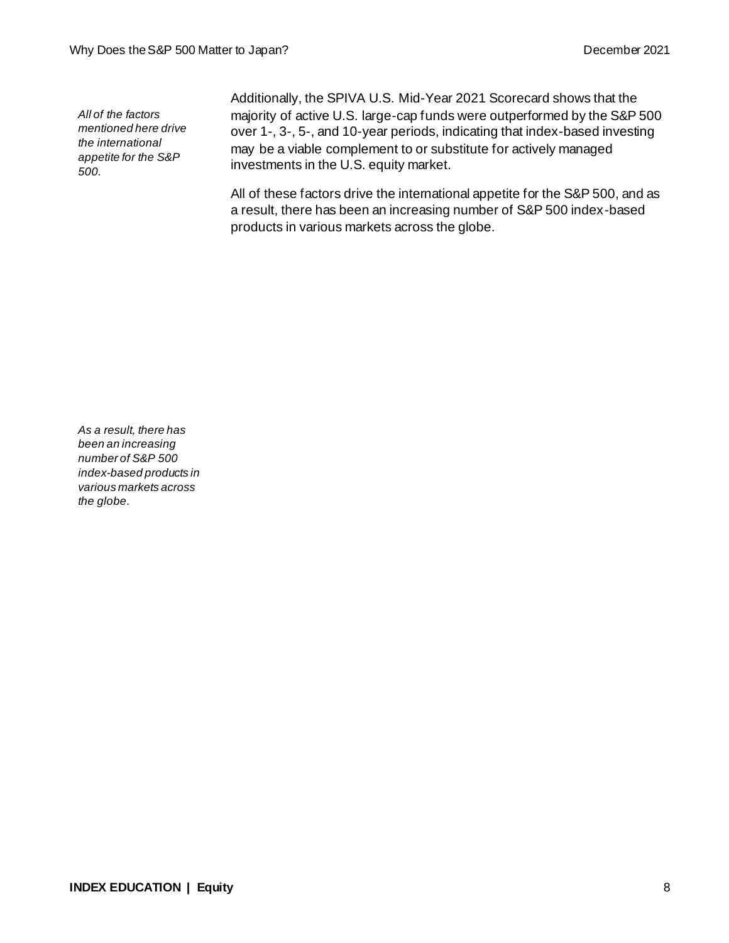*All of the factors mentioned here drive the international appetite for the S&P 500.*

Additionally, the SPIVA U.S. Mid-Year 2021 Scorecard shows that the majority of active U.S. large-cap funds were outperformed by the S&P 500 over 1-, 3-, 5-, and 10-year periods, indicating that index-based investing may be a viable complement to or substitute for actively managed investments in the U.S. equity market.

All of these factors drive the international appetite for the S&P 500, and as a result, there has been an increasing number of S&P 500 index-based products in various markets across the globe.

*As a result, there has been an increasing number of S&P 500 index-based products in various markets across the globe.*